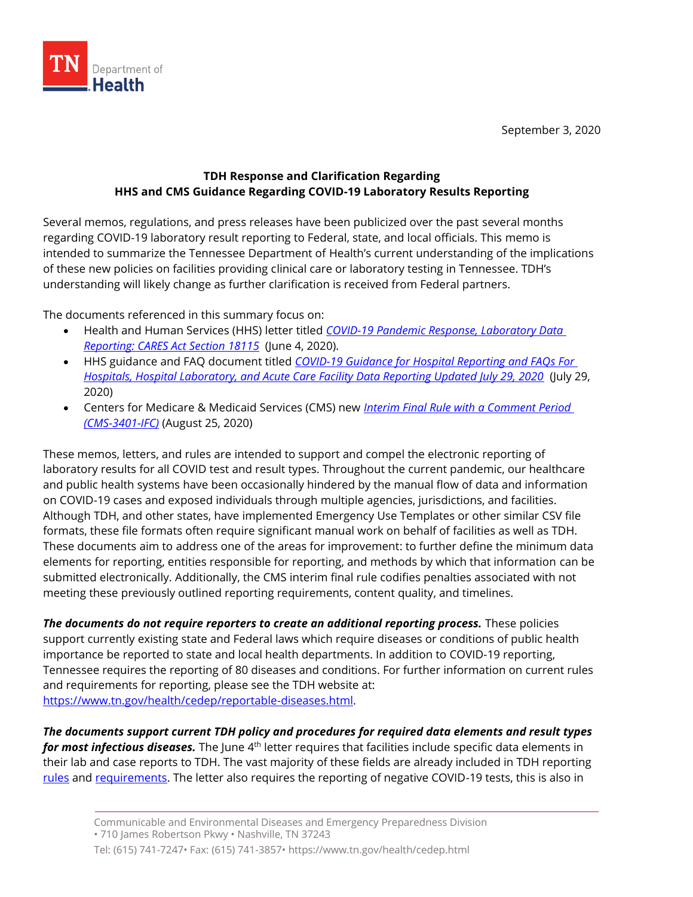

September 3, 2020

## **TDH Response and Clarification Regarding HHS and CMS Guidance Regarding COVID-19 Laboratory Results Reporting**

Several memos, regulations, and press releases have been publicized over the past several months regarding COVID-19 laboratory result reporting to Federal, state, and local officials. This memo is intended to summarize the Tennessee Department of Health's current understanding of the implications of these new policies on facilities providing clinical care or laboratory testing in Tennessee. TDH's understanding will likely change as further clarification is received from Federal partners.

The documents referenced in this summary focus on:

- Health and Human Services (HHS) letter titled *[COVID-19 Pandemic Response, Laboratory Data](https://www.hhs.gov/sites/default/files/covid-19-laboratory-data-reporting-guidance.pdf)  [Reporting: CARES Act](https://www.hhs.gov/sites/default/files/covid-19-laboratory-data-reporting-guidance.pdf) Section 18115* (June 4, 2020).
- HHS guidance and FAQ document titled *[COVID-19 Guidance for Hospital Reporting and FAQs For](https://www.hhs.gov/sites/default/files/covid-19-faqs-hospitals-hospital-laboratory-acute-care-facility-data-reporting.pdf)  [Hospitals, Hospital Laboratory, and Acute Care Facility Data Reporting Updated July 29, 2020](https://www.hhs.gov/sites/default/files/covid-19-faqs-hospitals-hospital-laboratory-acute-care-facility-data-reporting.pdf)* (July 29, 2020)
- Centers for Medicare & Medicaid Services (CMS) new *[Interim Final Rule with a Comment Period](https://www.cms.gov/files/document/covid-ifc-3-8-25-20.pdf)  [\(CMS-3401-IFC\)](https://www.cms.gov/files/document/covid-ifc-3-8-25-20.pdf)* (August 25, 2020)

These memos, letters, and rules are intended to support and compel the electronic reporting of laboratory results for all COVID test and result types. Throughout the current pandemic, our healthcare and public health systems have been occasionally hindered by the manual flow of data and information on COVID-19 cases and exposed individuals through multiple agencies, jurisdictions, and facilities. Although TDH, and other states, have implemented Emergency Use Templates or other similar CSV file formats, these file formats often require significant manual work on behalf of facilities as well as TDH. These documents aim to address one of the areas for improvement: to further define the minimum data elements for reporting, entities responsible for reporting, and methods by which that information can be submitted electronically. Additionally, the CMS interim final rule codifies penalties associated with not meeting these previously outlined reporting requirements, content quality, and timelines.

*The documents do not require reporters to create an additional reporting process.* These policies support currently existing state and Federal laws which require diseases or conditions of public health importance be reported to state and local health departments. In addition to COVID-19 reporting, Tennessee requires the reporting of 80 diseases and conditions. For further information on current rules and requirements for reporting, please see the TDH website at: [https://www.tn.gov/health/cedep/reportable-diseases.html.](https://www.tn.gov/health/cedep/reportable-diseases.html)

*The documents support current TDH policy and procedures for required data elements and result types*  for most infectious diseases. The June 4<sup>th</sup> letter requires that facilities include specific data elements in their lab and case reports to TDH. The vast majority of these fields are already included in TDH reporting [rules](https://www.tn.gov/content/dam/tn/health/documents/reportable-diseases/PH-1600.pdf) and [requirements.](https://www.tn.gov/health/cedep/laboratory-reporting.html) The letter also requires the reporting of negative COVID-19 tests, this is also in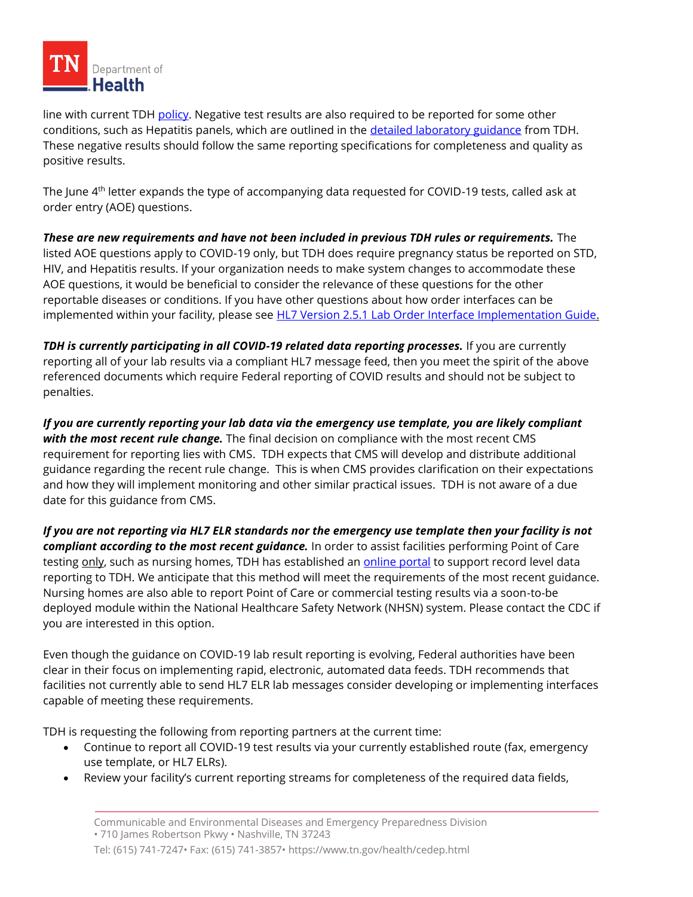

line with current TD[H policy.](https://www.tn.gov/content/dam/tn/health/documents/cedep/novel-coronavirus/TDH-COVID-Lab-Reporting-Guidance.pdf) Negative test results are also required to be reported for some other conditions, such as Hepatitis panels, which are outlined in the [detailed laboratory guidance](https://www.tn.gov/content/dam/tn/health/documents/reportable-diseases/2020_Detailed_Laboratory_Guidance.pdf) from TDH. These negative results should follow the same reporting specifications for completeness and quality as positive results.

The June 4th letter expands the type of accompanying data requested for COVID-19 tests, called ask at order entry (AOE) questions.

*These are new requirements and have not been included in previous TDH rules or requirements.* The listed AOE questions apply to COVID-19 only, but TDH does require pregnancy status be reported on STD, HIV, and Hepatitis results. If your organization needs to make system changes to accommodate these AOE questions, it would be beneficial to consider the relevance of these questions for the other reportable diseases or conditions. If you have other questions about how order interfaces can be implemented within your facility, please see **HL7 Version 2.5.1 Lab Order Interface Implementation Guide.** 

*TDH is currently participating in all COVID-19 related data reporting processes.* **If you are currently** reporting all of your lab results via a compliant HL7 message feed, then you meet the spirit of the above referenced documents which require Federal reporting of COVID results and should not be subject to penalties.

*If you are currently reporting your lab data via the emergency use template, you are likely compliant with the most recent rule change.* The final decision on compliance with the most recent CMS requirement for reporting lies with CMS. TDH expects that CMS will develop and distribute additional guidance regarding the recent rule change. This is when CMS provides clarification on their expectations and how they will implement monitoring and other similar practical issues. TDH is not aware of a due date for this guidance from CMS.

*If you are not reporting via HL7 ELR standards nor the emergency use template then your facility is not compliant according to the most recent guidance.* In order to assist facilities performing Point of Care testing only, such as nursing homes, TDH has established an [online portal](https://www.tn.gov/content/dam/tn/health/documents/cedep/novel-coronavirus/POhttps:/www.tn.gov/content/dam/tn/health/documents/cedep/novel-coronavirus/POC-Reporting-Guidance.pdfC-Reporting-Guidance.pdf) to support record level data reporting to TDH. We anticipate that this method will meet the requirements of the most recent guidance. Nursing homes are also able to report Point of Care or commercial testing results via a soon-to-be deployed module within the National Healthcare Safety Network (NHSN) system. Please contact the CDC if you are interested in this option.

Even though the guidance on COVID-19 lab result reporting is evolving, Federal authorities have been clear in their focus on implementing rapid, electronic, automated data feeds. TDH recommends that facilities not currently able to send HL7 ELR lab messages consider developing or implementing interfaces capable of meeting these requirements.

TDH is requesting the following from reporting partners at the current time:

- Continue to report all COVID-19 test results via your currently established route (fax, emergency use template, or HL7 ELRs).
- Review your facility's current reporting streams for completeness of the required data fields,